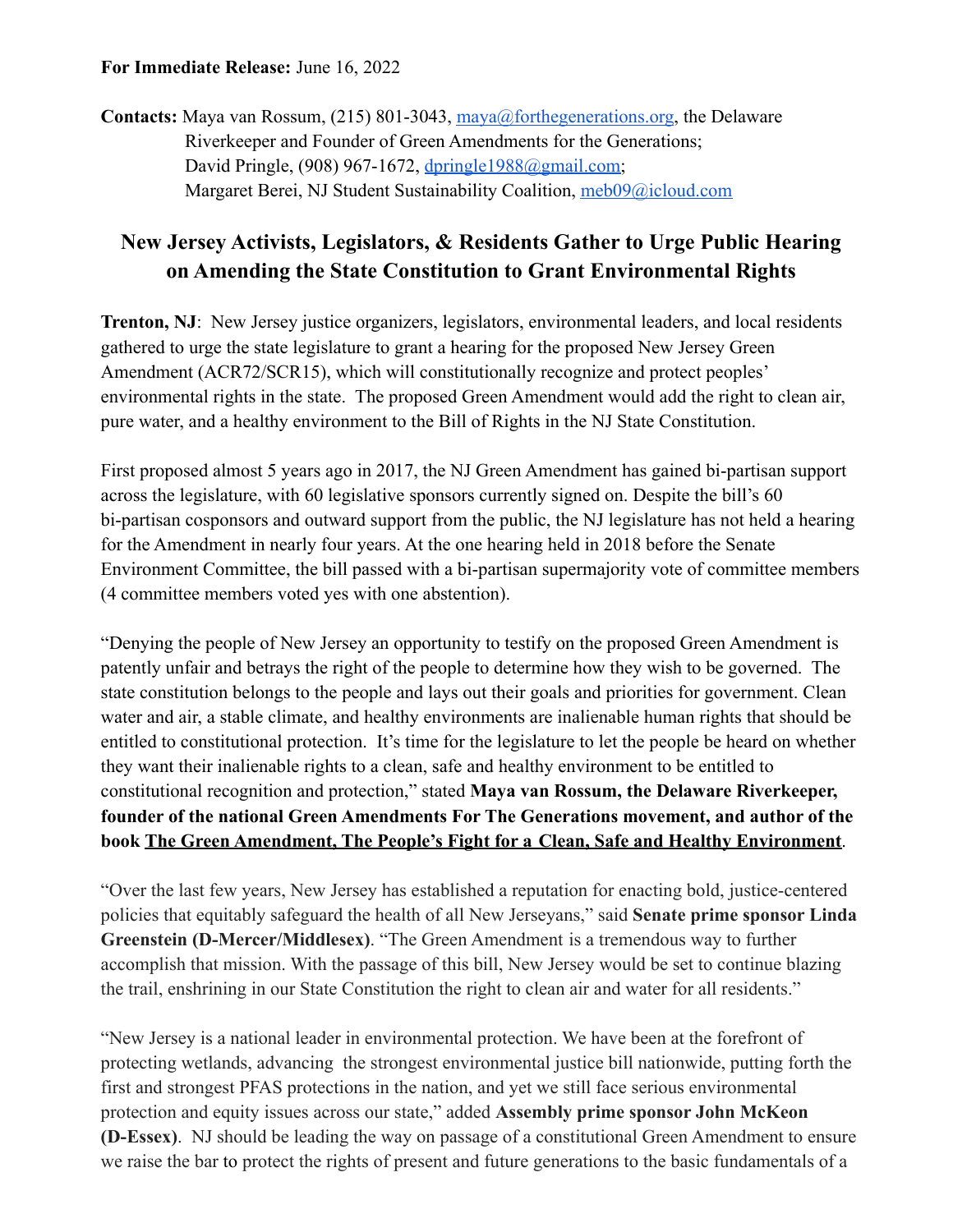## **For Immediate Release:** June 16, 2022

**Contacts:** Maya van Rossum, (215) 801-3043, [maya@forthegenerations.org](mailto:maya@forthegenerations.org), the Delaware Riverkeeper and Founder of Green Amendments for the Generations; David Pringle, (908) 967-1672, [dpringle1988@gmail.com;](mailto:dpringle1988@gmail.com) Margaret Berei, NJ Student Sustainability Coalition, [meb09@icloud.com](mailto:meb09@icloud.com)

## **New Jersey Activists, Legislators, & Residents Gather to Urge Public Hearing on Amending the State Constitution to Grant Environmental Rights**

**Trenton, NJ**: New Jersey justice organizers, legislators, environmental leaders, and local residents gathered to urge the state legislature to grant a hearing for the proposed New Jersey Green Amendment (ACR72/SCR15), which will constitutionally recognize and protect peoples' environmental rights in the state. The proposed Green Amendment would add the right to clean air, pure water, and a healthy environment to the Bill of Rights in the NJ State Constitution.

First proposed almost 5 years ago in 2017, the NJ Green Amendment has gained bi-partisan support across the legislature, with 60 legislative sponsors currently signed on. Despite the bill's 60 bi-partisan cosponsors and outward support from the public, the NJ legislature has not held a hearing for the Amendment in nearly four years. At the one hearing held in 2018 before the Senate Environment Committee, the bill passed with a bi-partisan supermajority vote of committee members (4 committee members voted yes with one abstention).

"Denying the people of New Jersey an opportunity to testify on the proposed Green Amendment is patently unfair and betrays the right of the people to determine how they wish to be governed. The state constitution belongs to the people and lays out their goals and priorities for government. Clean water and air, a stable climate, and healthy environments are inalienable human rights that should be entitled to constitutional protection. It's time for the legislature to let the people be heard on whether they want their inalienable rights to a clean, safe and healthy environment to be entitled to constitutional recognition and protection," stated **Maya van Rossum, the Delaware Riverkeeper, founder of the national Green Amendments For The Generations movement, and author of the book The Green Amendment, The People's Fight for a Clean, Safe and Healthy Environment**.

"Over the last few years, New Jersey has established a reputation for enacting bold, justice-centered policies that equitably safeguard the health of all New Jerseyans," said **Senate prime sponsor Linda Greenstein (D-Mercer/Middlesex)**. "The Green Amendment is a tremendous way to further accomplish that mission. With the passage of this bill, New Jersey would be set to continue blazing the trail, enshrining in our State Constitution the right to clean air and water for all residents."

"New Jersey is a national leader in environmental protection. We have been at the forefront of protecting wetlands, advancing the strongest environmental justice bill nationwide, putting forth the first and strongest PFAS protections in the nation, and yet we still face serious environmental protection and equity issues across our state," added **Assembly prime sponsor John McKeon (D-Essex)**. NJ should be leading the way on passage of a constitutional Green Amendment to ensure we raise the bar to protect the rights of present and future generations to the basic fundamentals of a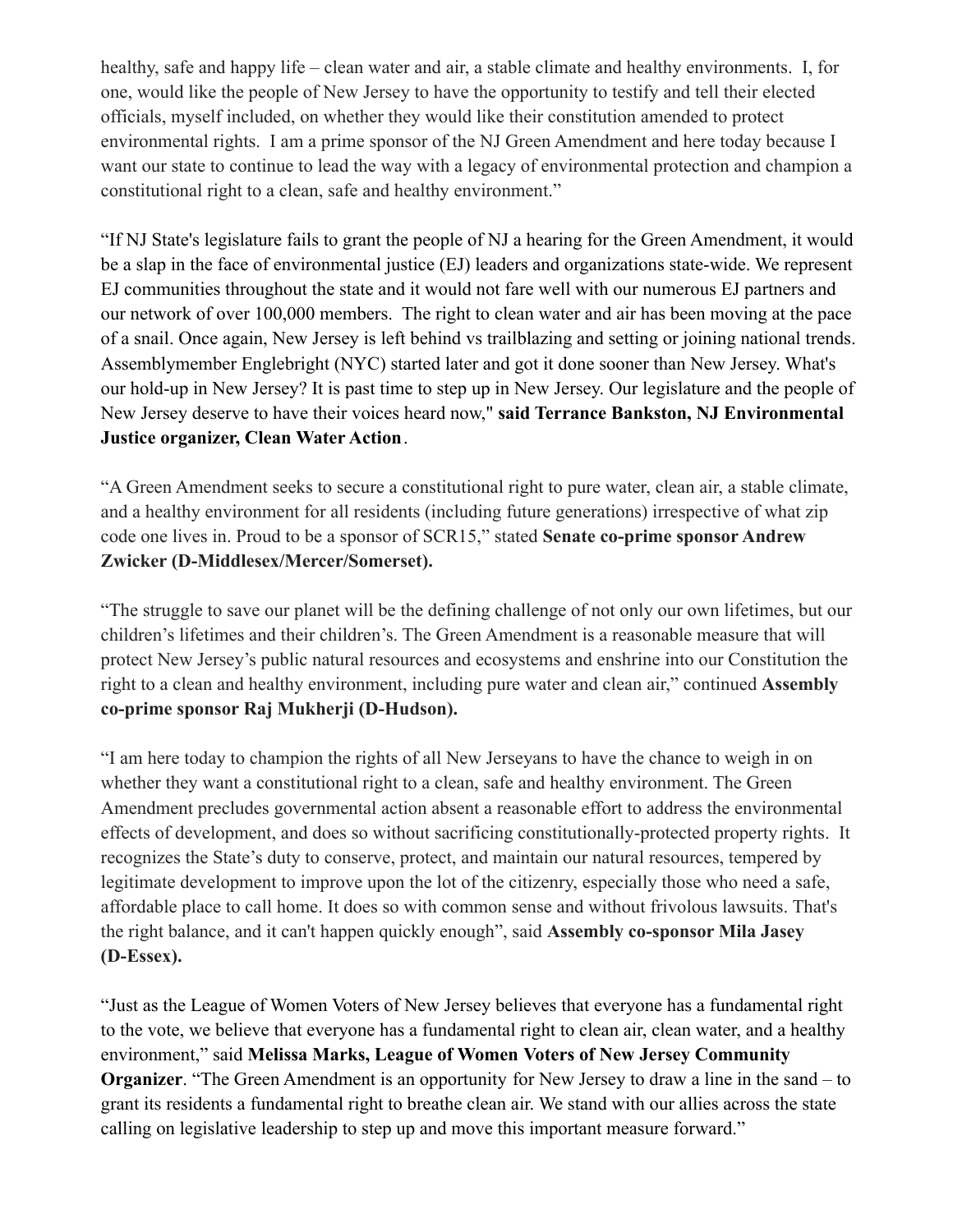healthy, safe and happy life – clean water and air, a stable climate and healthy environments. I, for one, would like the people of New Jersey to have the opportunity to testify and tell their elected officials, myself included, on whether they would like their constitution amended to protect environmental rights. I am a prime sponsor of the NJ Green Amendment and here today because I want our state to continue to lead the way with a legacy of environmental protection and champion a constitutional right to a clean, safe and healthy environment."

"If NJ State's legislature fails to grant the people of NJ a hearing for the Green Amendment, it would be a slap in the face of environmental justice (EJ) leaders and organizations state-wide. We represent EJ communities throughout the state and it would not fare well with our numerous EJ partners and our network of over 100,000 members. The right to clean water and air has been moving at the pace of a snail. Once again, New Jersey is left behind vs trailblazing and setting or joining national trends. Assemblymember Englebright (NYC) started later and got it done sooner than New Jersey. What's our hold-up in New Jersey? It is past time to step up in New Jersey. Our legislature and the people of New Jersey deserve to have their voices heard now," **said Terrance Bankston, NJ Environmental Justice organizer, Clean Water Action**.

"A Green Amendment seeks to secure a constitutional right to pure water, clean air, a stable climate, and a healthy environment for all residents (including future generations) irrespective of what zip code one lives in. Proud to be a sponsor of SCR15," stated **Senate co-prime sponsor Andrew Zwicker (D-Middlesex/Mercer/Somerset).**

"The struggle to save our planet will be the defining challenge of not only our own lifetimes, but our children's lifetimes and their children's. The Green Amendment is a reasonable measure that will protect New Jersey's public natural resources and ecosystems and enshrine into our Constitution the right to a clean and healthy environment, including pure water and clean air," continued **Assembly co-prime sponsor Raj Mukherji (D-Hudson).**

"I am here today to champion the rights of all New Jerseyans to have the chance to weigh in on whether they want a constitutional right to a clean, safe and healthy environment. The Green Amendment precludes governmental action absent a reasonable effort to address the environmental effects of development, and does so without sacrificing constitutionally-protected property rights. It recognizes the State's duty to conserve, protect, and maintain our natural resources, tempered by legitimate development to improve upon the lot of the citizenry, especially those who need a safe, affordable place to call home. It does so with common sense and without frivolous lawsuits. That's the right balance, and it can't happen quickly enough", said **Assembly co-sponsor Mila Jasey (D-Essex).**

"Just as the League of Women Voters of New Jersey believes that everyone has a fundamental right to the vote, we believe that everyone has a fundamental right to clean air, clean water, and a healthy environment," said **Melissa Marks, League of Women Voters of New Jersey Community Organizer**. "The Green Amendment is an opportunity for New Jersey to draw a line in the sand – to grant its residents a fundamental right to breathe clean air. We stand with our allies across the state calling on legislative leadership to step up and move this important measure forward."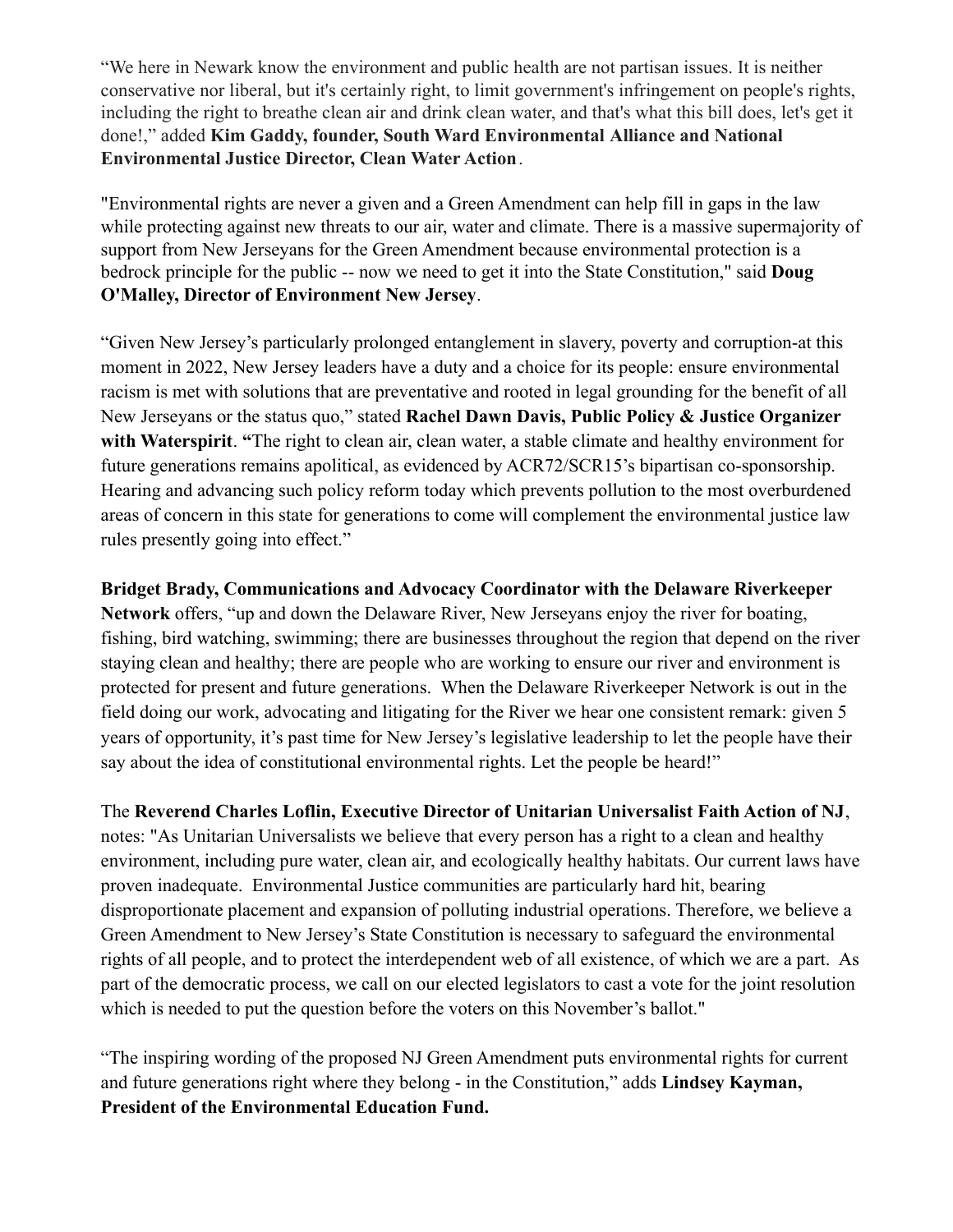"We here in Newark know the environment and public health are not partisan issues. It is neither conservative nor liberal, but it's certainly right, to limit government's infringement on people's rights, including the right to breathe clean air and drink clean water, and that's what this bill does, let's get it done!," added **Kim Gaddy, founder, South Ward Environmental Alliance and National Environmental Justice Director, Clean Water Action**.

"Environmental rights are never a given and a Green Amendment can help fill in gaps in the law while protecting against new threats to our air, water and climate. There is a massive supermajority of support from New Jerseyans for the Green Amendment because environmental protection is a bedrock principle for the public -- now we need to get it into the State Constitution," said **Doug O'Malley, Director of Environment New Jersey**.

"Given New Jersey's particularly prolonged entanglement in slavery, poverty and corruption-at this moment in 2022, New Jersey leaders have a duty and a choice for its people: ensure environmental racism is met with solutions that are preventative and rooted in legal grounding for the benefit of all New Jerseyans or the status quo," stated **Rachel Dawn Davis, Public Policy & Justice Organizer with Waterspirit**. **"**The right to clean air, clean water, a stable climate and healthy environment for future generations remains apolitical, as evidenced by ACR72/SCR15's bipartisan co-sponsorship. Hearing and advancing such policy reform today which prevents pollution to the most overburdened areas of concern in this state for generations to come will complement the environmental justice law rules presently going into effect."

## **Bridget Brady, Communications and Advocacy Coordinator with the Delaware Riverkeeper**

**Network** offers, "up and down the Delaware River, New Jerseyans enjoy the river for boating, fishing, bird watching, swimming; there are businesses throughout the region that depend on the river staying clean and healthy; there are people who are working to ensure our river and environment is protected for present and future generations. When the Delaware Riverkeeper Network is out in the field doing our work, advocating and litigating for the River we hear one consistent remark: given 5 years of opportunity, it's past time for New Jersey's legislative leadership to let the people have their say about the idea of constitutional environmental rights. Let the people be heard!"

The **Reverend Charles Loflin, Executive Director of Unitarian Universalist Faith Action of NJ**, notes: "As Unitarian Universalists we believe that every person has a right to a clean and healthy environment, including pure water, clean air, and ecologically healthy habitats. Our current laws have proven inadequate. Environmental Justice communities are particularly hard hit, bearing disproportionate placement and expansion of polluting industrial operations. Therefore, we believe a Green Amendment to New Jersey's State Constitution is necessary to safeguard the environmental rights of all people, and to protect the interdependent web of all existence, of which we are a part. As part of the democratic process, we call on our elected legislators to cast a vote for the joint resolution which is needed to put the question before the voters on this November's ballot."

"The inspiring wording of the proposed NJ Green Amendment puts environmental rights for current and future generations right where they belong - in the Constitution," adds **Lindsey Kayman, President of the Environmental Education Fund.**